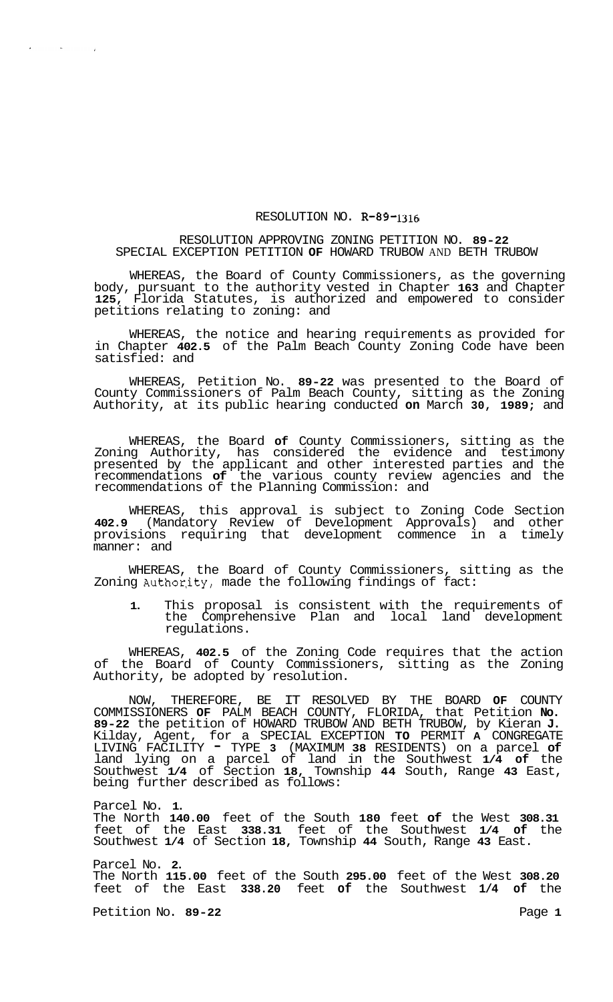## RESOLUTION NO. **R-89-1316**

## RESOLUTION APPROVING ZONING PETITION NO. **89-22**  SPECIAL EXCEPTION PETITION **OF** HOWARD TRUBOW AND BETH TRUBOW

WHEREAS, the Board of County Commissioners, as the governing body, pursuant to the authority vested in Chapter **163** and Chapter **125,** Florida Statutes, is authorized and empowered to consider petitions relating to zoning: and

WHEREAS, the notice and hearing requirements as provided for in Chapter **402.5** of the Palm Beach County Zoning Code have been satisfied: and

WHEREAS, Petition No. **89-22** was presented to the Board of County Commissioners of Palm Beach County, sitting as the Zoning Authority, at its public hearing conducted **on** March **30, 1989;** and

WHEREAS, the Board **of** County Commissioners, sitting as the Zoning Authority, has considered the evidence and testimony presented by the applicant and other interested parties and the recommendations **of** the various county review agencies and the recommendations of the Planning Commission: and

WHEREAS, this approval is subject to Zoning Code Section **402.9** (Mandatory Review of Development Approvals) and other provisions requiring that development commence in a timely manner: and

WHEREAS, the Board of County Commissioners, sitting as the Zoning Author,ity, made the following findings of fact:

**1.** This proposal is consistent with the requirements of the Comprehensive Plan and local land development regulations.

WHEREAS, **402.5** of the Zoning Code requires that the action of the Board of County Commissioners, sitting as the Zoning Authority, be adopted by resolution.

NOW, THEREFORE, BE IT RESOLVED BY THE BOARD **OF** COUNTY COMMISSIONERS **OF** PALM BEACH COUNTY, FLORIDA, that Petition **No. 89-22** the petition of HOWARD TRUBOW AND BETH TRUBOW, by Kieran **J.**  Kilday, Agent, for a SPECIAL EXCEPTION **TO** PERMIT **A** CONGREGATE LIVING FACILITY - TYPE **3** (MAXIMUM **38** RESIDENTS) on a parcel **of**  land lying on a parcel of land in the Southwest **1/4 of** the Southwest **1/4** of Section **18,** Township **44** South, Range **43** East, being further described as follows:

Parcel No. **1.** 

 $\mathcal{O}(\mathcal{O}(n))$ 

 $\sim$   $\sim$ 

 $\bullet$ 

The North **140.00** feet of the South **180** feet **of** the West **308.31**  feet of the East **338.31** feet of the Southwest **1/4 of** the Southwest **1/4** of Section **18,** Township **44** South, Range **43** East.

Parcel No. **2.**  The North **115.00** feet of the South **295.00** feet of the West **308.20**  feet of the East **338.20** feet **of** the Southwest **1/4 of** the

Petition No. 89-22 **Page 1**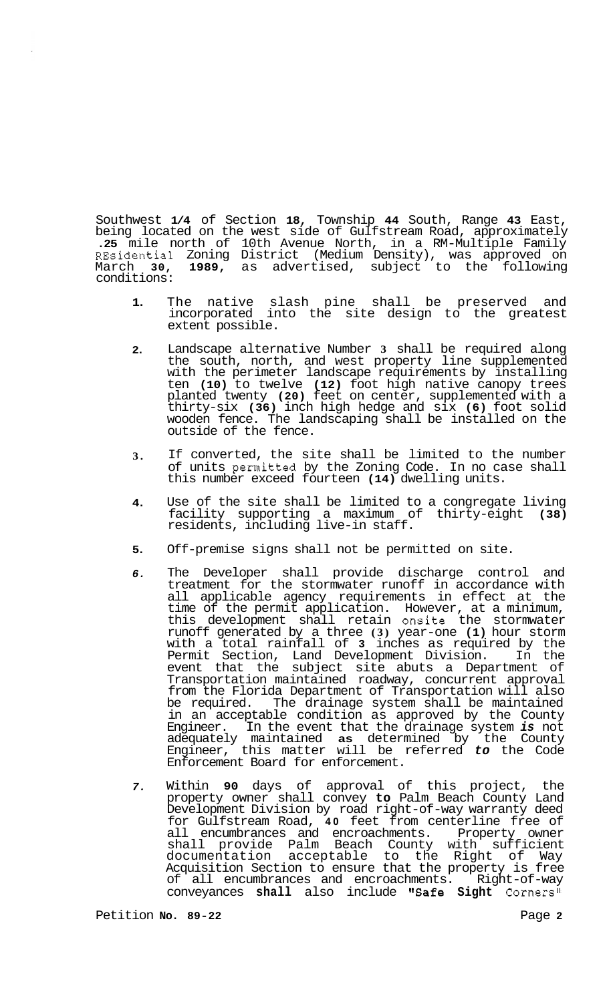Southwest **1/4** of Section **18,** Township **44** South, Range **43** East, being located on the west side of Gulfstream Road, approximately **.25** mile north of 10th Avenue North, in a RM-Multiple Family REsidential Zoning District (Medium Density), was approved on March **30, 1989,** as advertised, subject to the following conditions:

- **1.**  The native slash pine shall be preserved and incorporated into the site design to the greatest extent possible.
- **2.**  Landscape alternative Number **3** shall be required along the south, north, and west property line supplemented with the perimeter landscape requirements by installing ten **(10)** to twelve **(12)** foot high native canopy trees planted twenty **(20)** feet on center, supplemented with a thirty-six **(36)** inch high hedge and six **(6)** foot solid wooden fence. The landscaping shall be installed on the outside of the fence.
- **3.**  If converted, the site shall be limited to the number of units permitted by the Zoning Code. In no case shall this number exceed fourteen **(14)** dwelling units.
- **4.**  Use of the site shall be limited to a congregate living facility supporting a maximum of thirty-eight **(38)**  residents, including live-in staff.
- **5.**  Off-premise signs shall not be permitted on site.
- *6.*  The Developer shall provide discharge control and treatment for the stormwater runoff in accordance with all applicable agency requirements in effect at the time of the permit application. However, at a minimum, this development shall retain onsite the stormwater runoff generated by a three **(3)** year-one **(1)** hour storm with a total rainfall of **3** inches as required by the Permit Section, Land Development Division. In the event that the subject site abuts a Department of Transportation maintained roadway, concurrent approval from the Florida Department of Transportation will also be required. The drainage system shall be maintained in an acceptable condition as approved by the County Engineer. In the event that the drainage system *is* not adequately maintained **as** determined by the County Engineer, this matter will be referred *to* the Code Enforcement Board for enforcement.
- *7.*  Within **90** days of approval of this project, the property owner shall convey **to** Palm Beach County Land Development Division by road right-of-way warranty deed for Gulfstream Road, **40** feet from centerline free of all encumbrances and encroachments. Property owner shall provide Palm Beach County with sufficient documentation acceptable to the Right of Way Acquisition Section to ensure that the property is free of all encumbrances and encroachments. Right-of-way conveyances shall also include "Safe Sight Corners"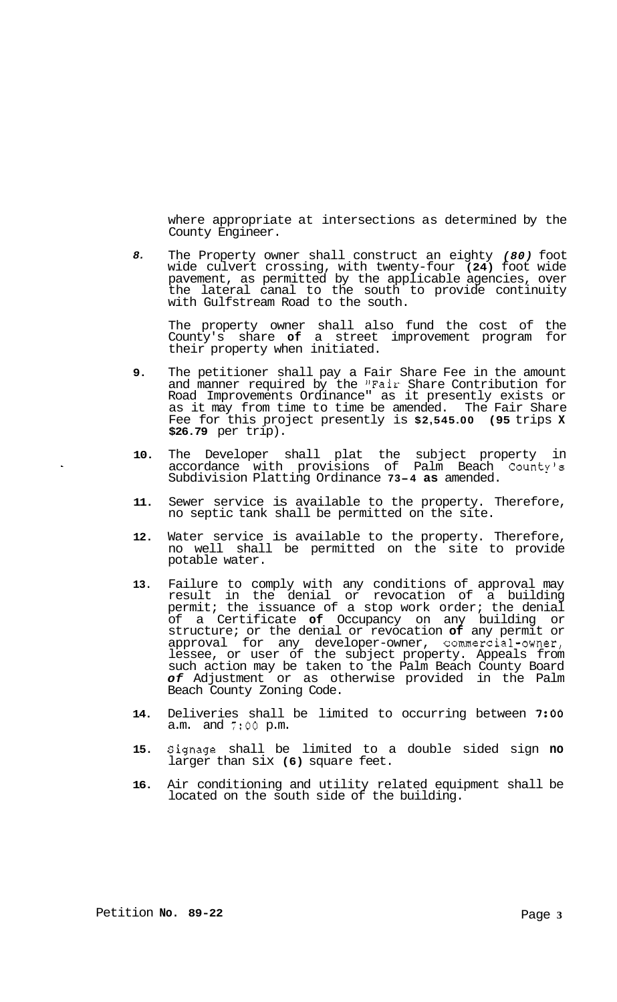where appropriate at intersections as determined by the County Engineer.

*8.*  The Property owner shall construct an eighty *(80)* foot wide culvert crossing, with twenty-four **(24)** foot wide pavement, as permitted by the applicable agencies, over the lateral canal to the south to provide continuity with Gulfstream Road to the south.

The property owner shall also fund the cost of the County's share **of** a street improvement program for their property when initiated.

- **9.**  The petitioner shall pay a Fair Share Fee in the amount and manner required by the "Fair Share Contribution for Road Improvements Ordinance" as it presently exists or as it may from time to time be amended. The Fair Share Fee for this project presently is **\$2,545.00 (95** trips **X \$26.79** per trip).
- **10.**  The Developer shall plat the subject property in accordance with provisions of Palm Beach County's Subdivision Platting Ordinance **73-4 as** amended.
- **11.**  Sewer service is available to the property. Therefore, no septic tank shall be permitted on the site.
- **12.**  Water service is available to the property. Therefore, no well shall be permitted on the site to provide potable water.
- **13.**  Failure to comply with any conditions of approval may result in the denial or revocation of a building permit; the issuance of a stop work order; the denial of a Certificate **of** Occupancy on any building or structure; or the denial or revocation **of** any permit or approval for any developer-owner, commercial-owner, lessee, or user of the subject property. Appeals from such action may be taken to the Palm Beach County Board *of* Adjustment or as otherwise provided in the Palm Beach County Zoning Code.
- **14.**  Deliveries shall be limited to occurring between **7:OO**  a.m. and *7:OO* p.m.
- **15.**  Signage shall be limited to a double sided sign **no**  larger than six **(6)** square feet.
- **16.**  Air conditioning and utility related equipment shall be located on the south side of the building.